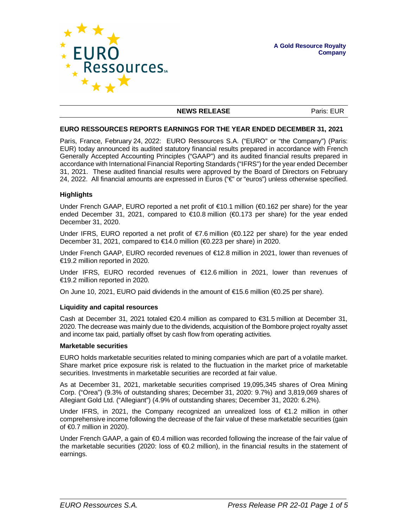

#### **NEWS RELEASE** Paris: EUR

#### **EURO RESSOURCES REPORTS EARNINGS FOR THE YEAR ENDED DECEMBER 31, 2021**

Paris, France, February 24, 2022: EURO Ressources S.A. ("EURO" or "the Company") (Paris: EUR) today announced its audited statutory financial results prepared in accordance with French Generally Accepted Accounting Principles ("GAAP") and its audited financial results prepared in accordance with International Financial Reporting Standards ("IFRS") for the year ended December 31, 2021. These audited financial results were approved by the Board of Directors on February 24, 2022. All financial amounts are expressed in Euros ("€" or "euros") unless otherwise specified.

### **Highlights**

Under French GAAP, EURO reported a net profit of €10.1 million (€0.162 per share) for the year ended December 31, 2021, compared to €10.8 million (€0.173 per share) for the year ended December 31, 2020.

Under IFRS, EURO reported a net profit of €7.6 million (€0.122 per share) for the year ended December 31, 2021, compared to €14.0 million (€0.223 per share) in 2020.

Under French GAAP, EURO recorded revenues of €12.8 million in 2021, lower than revenues of €19.2 million reported in 2020.

Under IFRS, EURO recorded revenues of €12.6 million in 2021, lower than revenues of €19.2 million reported in 2020.

On June 10, 2021, EURO paid dividends in the amount of  $\epsilon$ 15.6 million ( $\epsilon$ 0.25 per share).

### **Liquidity and capital resources**

Cash at December 31, 2021 totaled €20.4 million as compared to €31.5 million at December 31, 2020. The decrease was mainly due to the dividends, acquisition of the Bombore project royalty asset and income tax paid, partially offset by cash flow from operating activities.

### **Marketable securities**

EURO holds marketable securities related to mining companies which are part of a volatile market. Share market price exposure risk is related to the fluctuation in the market price of marketable securities. Investments in marketable securities are recorded at fair value.

As at December 31, 2021, marketable securities comprised 19,095,345 shares of Orea Mining Corp. ("Orea") (9.3% of outstanding shares; December 31, 2020: 9.7%) and 3,819,069 shares of Allegiant Gold Ltd. ("Allegiant") (4.9% of outstanding shares; December 31, 2020: 6.2%).

Under IFRS, in 2021, the Company recognized an unrealized loss of €1.2 million in other comprehensive income following the decrease of the fair value of these marketable securities (gain of €0.7 million in 2020).

Under French GAAP, a gain of €0.4 million was recorded following the increase of the fair value of the marketable securities (2020: loss of  $\bigoplus$  2 million), in the financial results in the statement of earnings.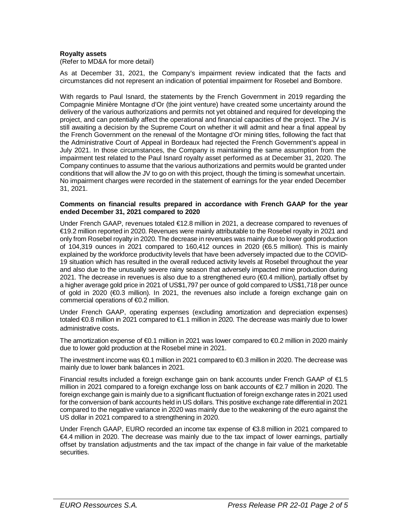## **Royalty assets**

(Refer to MD&A for more detail)

As at December 31, 2021, the Company's impairment review indicated that the facts and circumstances did not represent an indication of potential impairment for Rosebel and Bombore.

With regards to Paul Isnard, the statements by the French Government in 2019 regarding the Compagnie Minière Montagne d'Or (the joint venture) have created some uncertainty around the delivery of the various authorizations and permits not yet obtained and required for developing the project, and can potentially affect the operational and financial capacities of the project. The JV is still awaiting a decision by the Supreme Court on whether it will admit and hear a final appeal by the French Government on the renewal of the Montagne d'Or mining titles, following the fact that the Administrative Court of Appeal in Bordeaux had rejected the French Government's appeal in July 2021. In those circumstances, the Company is maintaining the same assumption from the impairment test related to the Paul Isnard royalty asset performed as at December 31, 2020. The Company continues to assume that the various authorizations and permits would be granted under conditions that will allow the JV to go on with this project, though the timing is somewhat uncertain. No impairment charges were recorded in the statement of earnings for the year ended December 31, 2021.

### **Comments on financial results prepared in accordance with French GAAP for the year ended December 31, 2021 compared to 2020**

Under French GAAP, revenues totaled €12.8 million in 2021, a decrease compared to revenues of €19.2 million reported in 2020. Revenues were mainly attributable to the Rosebel royalty in 2021 and only from Rosebel royalty in 2020. The decrease in revenues was mainly due to lower gold production of 104,319 ounces in 2021 compared to 160,412 ounces in 2020 ( $66.5$  million). This is mainly explained by the workforce productivity levels that have been adversely impacted due to the COVID-19 situation which has resulted in the overall reduced activity levels at Rosebel throughout the year and also due to the unusually severe rainy season that adversely impacted mine production during 2021. The decrease in revenues is also due to a strengthened euro (€0.4 million), partially offset by a higher average gold price in 2021 of US\$1,797 per ounce of gold compared to US\$1,718 per ounce of gold in 2020 ( $\bigoplus$ .3 million). In 2021, the revenues also include a foreign exchange gain on commercial operations of €0.2 million.

Under French GAAP, operating expenses (excluding amortization and depreciation expenses) totaled €0.8 million in 2021 compared to €1.1 million in 2020. The decrease was mainly due to lower administrative costs.

The amortization expense of €0.1 million in 2021 was lower compared to €0.2 million in 2020 mainly due to lower gold production at the Rosebel mine in 2021.

The investment income was €0.1 million in 2021 compared to €0.3 million in 2020. The decrease was mainly due to lower bank balances in 2021.

Financial results included a foreign exchange gain on bank accounts under French GAAP of €1.5 million in 2021 compared to a foreign exchange loss on bank accounts of €2.7 million in 2020. The foreign exchange gain is mainly due to a significant fluctuation of foreign exchange rates in 2021 used for the conversion of bank accounts held in US dollars. This positive exchange rate differential in 2021 compared to the negative variance in 2020 was mainly due to the weakening of the euro against the US dollar in 2021 compared to a strengthening in 2020.

Under French GAAP, EURO recorded an income tax expense of €3.8 million in 2021 compared to €4.4 million in 2020. The decrease was mainly due to the tax impact of lower earnings, partially offset by translation adjustments and the tax impact of the change in fair value of the marketable securities.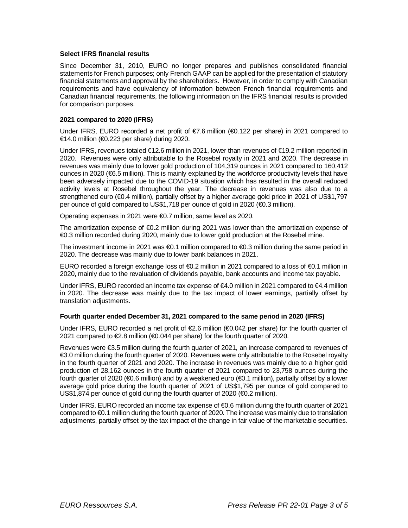## **Select IFRS financial results**

Since December 31, 2010, EURO no longer prepares and publishes consolidated financial statements for French purposes; only French GAAP can be applied for the presentation of statutory financial statements and approval by the shareholders. However, in order to comply with Canadian requirements and have equivalency of information between French financial requirements and Canadian financial requirements, the following information on the IFRS financial results is provided for comparison purposes.

## **2021 compared to 2020 (IFRS)**

Under IFRS, EURO recorded a net profit of  $\epsilon$ 7.6 million ( $\epsilon$ 0.122 per share) in 2021 compared to €14.0 million (€0.223 per share) during 2020.

Under IFRS, revenues totaled €12.6 million in 2021, lower than revenues of €19.2 million reported in 2020. Revenues were only attributable to the Rosebel royalty in 2021 and 2020. The decrease in revenues was mainly due to lower gold production of 104,319 ounces in 2021 compared to 160,412 ounces in 2020 (€6.5 million). This is mainly explained by the workforce productivity levels that have been adversely impacted due to the COVID-19 situation which has resulted in the overall reduced activity levels at Rosebel throughout the year. The decrease in revenues was also due to a strengthened euro (€0.4 million), partially offset by a higher average gold price in 2021 of US\$1,797 per ounce of gold compared to US\$1,718 per ounce of gold in 2020 (€0.3 million).

Operating expenses in 2021 were €0.7 million, same level as 2020.

The amortization expense of  $60.2$  million during 2021 was lower than the amortization expense of €0.3 million recorded during 2020, mainly due to lower gold production at the Rosebel mine.

The investment income in 2021 was €0.1 million compared to €0.3 million during the same period in 2020. The decrease was mainly due to lower bank balances in 2021.

EURO recorded a foreign exchange loss of €0.2 million in 2021 compared to a loss of €0.1 million in 2020, mainly due to the revaluation of dividends payable, bank accounts and income tax payable.

Under IFRS, EURO recorded an income tax expense of €4.0 million in 2021 compared to €4.4 million in 2020. The decrease was mainly due to the tax impact of lower earnings, partially offset by translation adjustments.

### **Fourth quarter ended December 31, 2021 compared to the same period in 2020 (IFRS)**

Under IFRS, EURO recorded a net profit of €2.6 million (€0.042 per share) for the fourth quarter of 2021 compared to €2.8 million (€0.044 per share) for the fourth quarter of 2020.

Revenues were €3.5 million during the fourth quarter of 2021, an increase compared to revenues of €3.0 million during the fourth quarter of 2020. Revenues were only attributable to the Rosebel royalty in the fourth quarter of 2021 and 2020. The increase in revenues was mainly due to a higher gold production of 28,162 ounces in the fourth quarter of 2021 compared to 23,758 ounces during the fourth quarter of 2020 (€0.6 million) and by a weakened euro (€0.1 million), partially offset by a lower average gold price during the fourth quarter of 2021 of US\$1,795 per ounce of gold compared to US\$1,874 per ounce of gold during the fourth quarter of 2020 (€0.2 million).

Under IFRS, EURO recorded an income tax expense of €0.6 million during the fourth quarter of 2021 compared to €0.1 million during the fourth quarter of 2020. The increase was mainly due to translation adjustments, partially offset by the tax impact of the change in fair value of the marketable securities.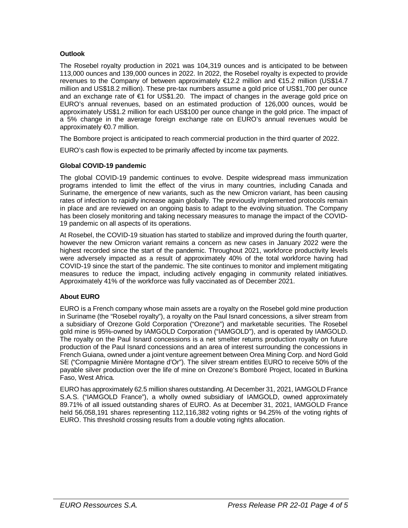# **Outlook**

The Rosebel royalty production in 2021 was 104,319 ounces and is anticipated to be between 113,000 ounces and 139,000 ounces in 2022. In 2022, the Rosebel royalty is expected to provide revenues to the Company of between approximately €12.2 million and €15.2 million (US\$14.7 million and US\$18.2 million). These pre-tax numbers assume a gold price of US\$1,700 per ounce and an exchange rate of €1 for US\$1.20. The impact of changes in the average gold price on EURO's annual revenues, based on an estimated production of 126,000 ounces, would be approximately US\$1.2 million for each US\$100 per ounce change in the gold price. The impact of a 5% change in the average foreign exchange rate on EURO's annual revenues would be approximately €0.7 million.

The Bombore project is anticipated to reach commercial production in the third quarter of 2022.

EURO's cash flow is expected to be primarily affected by income tax payments.

## **Global COVID-19 pandemic**

The global COVID-19 pandemic continues to evolve. Despite widespread mass immunization programs intended to limit the effect of the virus in many countries, including Canada and Suriname, the emergence of new variants, such as the new Omicron variant, has been causing rates of infection to rapidly increase again globally. The previously implemented protocols remain in place and are reviewed on an ongoing basis to adapt to the evolving situation. The Company has been closely monitoring and taking necessary measures to manage the impact of the COVID-19 pandemic on all aspects of its operations.

At Rosebel, the COVID-19 situation has started to stabilize and improved during the fourth quarter, however the new Omicron variant remains a concern as new cases in January 2022 were the highest recorded since the start of the pandemic. Throughout 2021, workforce productivity levels were adversely impacted as a result of approximately 40% of the total workforce having had COVID-19 since the start of the pandemic. The site continues to monitor and implement mitigating measures to reduce the impact, including actively engaging in community related initiatives. Approximately 41% of the workforce was fully vaccinated as of December 2021.

# **About EURO**

EURO is a French company whose main assets are a royalty on the Rosebel gold mine production in Suriname (the "Rosebel royalty"), a royalty on the Paul Isnard concessions, a silver stream from a subsidiary of Orezone Gold Corporation ("Orezone") and marketable securities. The Rosebel gold mine is 95%-owned by IAMGOLD Corporation ("IAMGOLD"), and is operated by IAMGOLD. The royalty on the Paul Isnard concessions is a net smelter returns production royalty on future production of the Paul Isnard concessions and an area of interest surrounding the concessions in French Guiana, owned under a joint venture agreement between Orea Mining Corp. and Nord Gold SE ("Compagnie Minière Montagne d'Or"). The silver stream entitles EURO to receive 50% of the payable silver production over the life of mine on Orezone's Bomboré Project, located in Burkina Faso, West Africa.

EURO has approximately 62.5 million shares outstanding. At December 31, 2021, IAMGOLD France S.A.S. ("IAMGOLD France"), a wholly owned subsidiary of IAMGOLD, owned approximately 89.71% of all issued outstanding shares of EURO. As at December 31, 2021, IAMGOLD France held 56,058,191 shares representing 112,116,382 voting rights or 94.25% of the voting rights of EURO. This threshold crossing results from a double voting rights allocation.